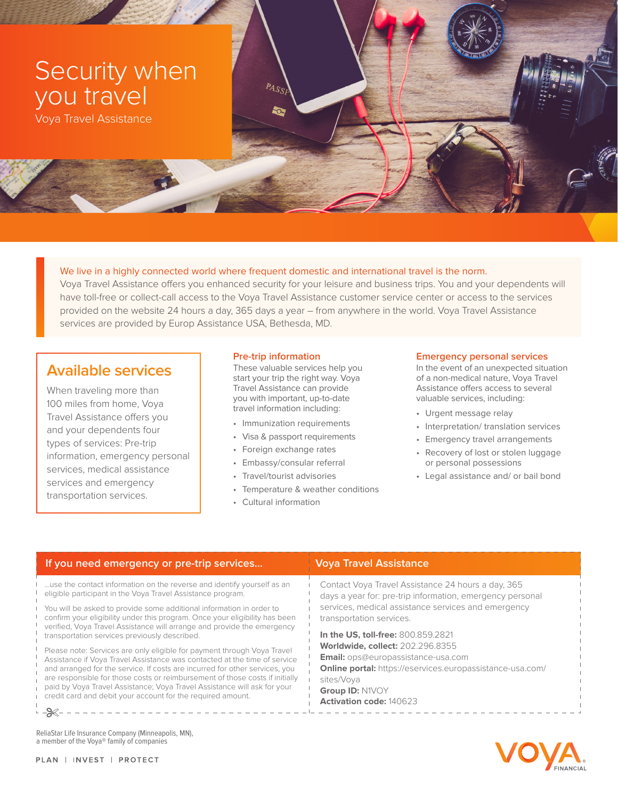

Voya Travel Assistance

We live in a highly connected world where frequent domestic and international travel is the norm. Voya Travel Assistance offers you enhanced security for your leisure and business trips. You and your dependents will have toll-free or collect-call access to the Voya Travel Assistance customer service center or access to the services provided on the website 24 hours a day, 365 days a year – from anywhere in the world. Voya Travel Assistance services are provided by Europ Assistance USA, Bethesda, MD.

# **Available services**

When traveling more than 100 miles from home, Voya Travel Assistance offers you and your dependents four types of services: Pre-trip information, emergency personal services, medical assistance services and emergency transportation services.

## **Pre-trip information**

 $P_{A, S_{S_{I}}}$ 

**SC** 

These valuable services help you start your trip the right way. Voya Travel Assistance can provide you with important, up-to-date travel information including:

- Immunization requirements
- Visa & passport requirements
- Foreign exchange rates
- Embassy/consular referral
- Travel/tourist advisories
- Temperature & weather conditions
- Cultural information

#### **Emergency personal services**

In the event of an unexpected situation of a non-medical nature, Voya Travel Assistance offers access to several valuable services, including:

- Urgent message relay
- Interpretation/ translation services
- Emergency travel arrangements
- Recovery of lost or stolen luggage or personal possessions
- Legal assistance and/ or bail bond

| If you need emergency or pre-trip services                                                                                                                                                                                                                                                                                                                                                                                                                     | Voya Travel Assistance                                                                                          |
|----------------------------------------------------------------------------------------------------------------------------------------------------------------------------------------------------------------------------------------------------------------------------------------------------------------------------------------------------------------------------------------------------------------------------------------------------------------|-----------------------------------------------------------------------------------------------------------------|
| use the contact information on the reverse and identify yourself as an<br>eligible participant in the Voya Travel Assistance program.                                                                                                                                                                                                                                                                                                                          | Contact Voya Travel Assistance 24 hours a day, 365<br>days a year for: pre-trip information, emergency personal |
| You will be asked to provide some additional information in order to<br>confirm your eligibility under this program. Once your eligibility has been<br>verified, Voya Travel Assistance will arrange and provide the emergency                                                                                                                                                                                                                                 | services, medical assistance services and emergency<br>transportation services.                                 |
| transportation services previously described.                                                                                                                                                                                                                                                                                                                                                                                                                  | In the US, toll-free: 800.859.2821                                                                              |
| Please note: Services are only eligible for payment through Voya Travel<br>Assistance if Voya Travel Assistance was contacted at the time of service<br>and arranged for the service. If costs are incurred for other services, you<br>are responsible for those costs or reimbursement of those costs if initially<br>paid by Voya Travel Assistance; Voya Travel Assistance will ask for your<br>credit card and debit your account for the required amount. | <b>Worldwide, collect: 202.296.8355</b>                                                                         |
|                                                                                                                                                                                                                                                                                                                                                                                                                                                                | Email: ops@europassistance-usa.com                                                                              |
|                                                                                                                                                                                                                                                                                                                                                                                                                                                                | <b>Online portal:</b> https://eservices.europassistance-usa.com/                                                |
|                                                                                                                                                                                                                                                                                                                                                                                                                                                                | sites/Voya                                                                                                      |
|                                                                                                                                                                                                                                                                                                                                                                                                                                                                | Group ID: N1VOY                                                                                                 |
|                                                                                                                                                                                                                                                                                                                                                                                                                                                                | <b>Activation code: 140623</b>                                                                                  |
|                                                                                                                                                                                                                                                                                                                                                                                                                                                                |                                                                                                                 |

ReliaStar Life Insurance Company (Minneapolis, MN), a member of the Voya® family of companies